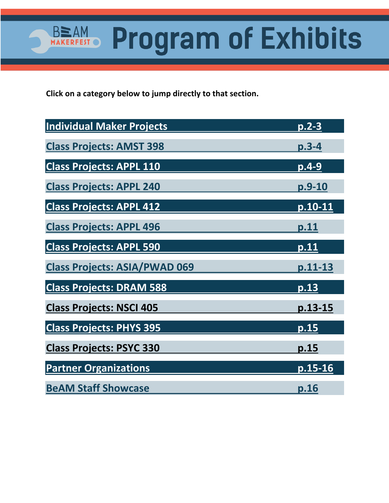**Click on a category below to jump directly to that section.** 

**BEAM** 

MAI

 $\mathsf{I} \bullet$ 

| <b>Individual Maker Projects</b>     | p.2-3         |
|--------------------------------------|---------------|
| <b>Class Projects: AMST 398</b>      | <u>p.3-4</u>  |
| <b>Class Projects: APPL 110</b>      | $p.4-9$       |
| <b>Class Projects: APPL 240</b>      | <u>p.9-10</u> |
| <b>Class Projects: APPL 412</b>      | $p.10-11$     |
| <b>Class Projects: APPL 496</b>      | <u>p.11</u>   |
| <b>Class Projects: APPL 590</b>      | p.11          |
| <b>Class Projects: ASIA/PWAD 069</b> | p.11-13       |
| <b>Class Projects: DRAM 588</b>      | p.13          |
| <b>Class Projects: NSCI 405</b>      | p.13-15       |
| <b>Class Projects: PHYS 395</b>      | <u>p.15</u>   |
| <b>Class Projects: PSYC 330</b>      | p.15          |
| <b>Partner Organizations</b>         | $p.15-16$     |
| <b>BeAM Staff Showcase</b>           |               |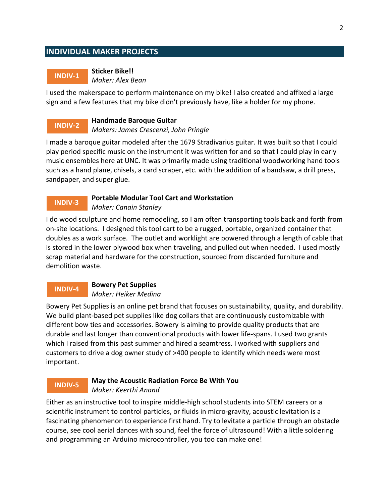## <span id="page-1-0"></span>**INDIVIDUAL MAKER PROJECTS**

### **INDIV-1**

**Sticker Bike!!** *Maker: Alex Bean*

I used the makerspace to perform maintenance on my bike! I also created and affixed a large sign and a few features that my bike didn't previously have, like a holder for my phone.

#### **Handmade Baroque Guitar INDIV-2**

*Makers: James Crescenzi, John Pringle*

I made a baroque guitar modeled after the 1679 Stradivarius guitar. It was built so that I could play period specific music on the instrument it was written for and so that I could play in early music ensembles here at UNC. It was primarily made using traditional woodworking hand tools such as a hand plane, chisels, a card scraper, etc. with the addition of a bandsaw, a drill press, sandpaper, and super glue.

### **INDIV-3**

### **Portable Modular Tool Cart and Workstation** *Maker: Canain Stanley*

I do wood sculpture and home remodeling, so I am often transporting tools back and forth from on-site locations. I designed this tool cart to be a rugged, portable, organized container that doubles as a work surface. The outlet and worklight are powered through a length of cable that is stored in the lower plywood box when traveling, and pulled out when needed. I used mostly scrap material and hardware for the construction, sourced from discarded furniture and demolition waste.

### **INDIV-4**

**Bowery Pet Supplies** *Maker: Heiker Medina*

Bowery Pet Supplies is an online pet brand that focuses on sustainability, quality, and durability. We build plant-based pet supplies like dog collars that are continuously customizable with different bow ties and accessories. Bowery is aiming to provide quality products that are durable and last longer than conventional products with lower life-spans. I used two grants which I raised from this past summer and hired a seamtress. I worked with suppliers and customers to drive a dog owner study of >400 people to identify which needs were most important.

### **INDIV-5**

## **May the Acoustic Radiation Force Be With You** *Maker: Keerthi Anand*

Either as an instructive tool to inspire middle-high school students into STEM careers or a scientific instrument to control particles, or fluids in micro-gravity, acoustic levitation is a fascinating phenomenon to experience first hand. Try to levitate a particle through an obstacle course, see cool aerial dances with sound, feel the force of ultrasound! With a little soldering and programming an Arduino microcontroller, you too can make one!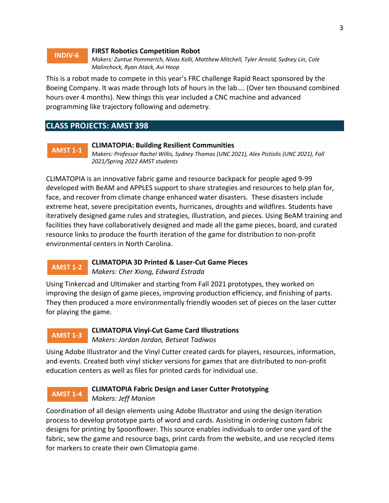### <span id="page-2-0"></span>**INDIV-6**

### **FIRST Robotics Competition Robot**

*Makers: Zuntue Pommerich, Nivas Kolli, Matthew Mitchell, Tyler Arnold, Sydney Lin, Cole Malinchock, Ryan Atack, Avi Hoop*

This is a robot made to compete in this year's FRC challenge Rapid React sponsored by the Boeing Company. It was made through lots of hours in the lab.... (Over ten thousand combined hours over 4 months). New things this year included a CNC machine and advanced programming like trajectory following and odemetry.

### **CLASS PROJECTS: AMST 398**

### **AMST 1-1**

### **CLIMATOPIA: Building Resilient Communities**

*Makers: Professor Rachel Willis, Sydney Thomas (UNC 2021), Alex Pistiolis (UNC 2021), Fall 2021/Spring 2022 AMST students*

CLIMATOPIA is an innovative fabric game and resource backpack for people aged 9-99 developed with BeAM and APPLES support to share strategies and resources to help plan for, face, and recover from climate change enhanced water disasters. These disasters include extreme heat, severe precipitation events, hurricanes, droughts and wildfires. Students have iteratively designed game rules and strategies, illustration, and pieces. Using BeAM training and facilities they have collaboratively designed and made all the game pieces, board, and curated resource links to produce the fourth iteration of the game for distribution to non-profit environmental centers in North Carolina.

### **AMST 1-2**

### **CLIMATOPIA 3D Printed & Laser-Cut Game Pieces** *Makers: Cher Xiong, Edward Estrada*

Using Tinkercad and Ultimaker and starting from Fall 2021 prototypes, they worked on improving the design of game pieces, improving production efficiency, and finishing of parts. They then produced a more environmentally friendly wooden set of pieces on the laser cutter for playing the game.

## **AMST 1-3**

### **CLIMATOPIA Vinyl-Cut Game Card Illustrations** *Makers: Jordan Jordan, Betseat Tadiwos*

Using Adobe Illustrator and the Vinyl Cutter created cards for players, resources, information, and events. Created both vinyl sticker versions for games that are distributed to non-profit education centers as well as files for printed cards for individual use.

### **AMST 1-4**

### **CLIMATOPIA Fabric Design and Laser Cutter Prototyping** *Makers: Jeff Manion*

Coordination of all design elements using Adobe Illustrator and using the design iteration process to develop prototype parts of word and cards. Assisting in ordering custom fabric designs for printing by Spoonflower. This source enables individuals to order one yard of the fabric, sew the game and resource bags, print cards from the website, and use recycled items for markers to create their own Climatopia game.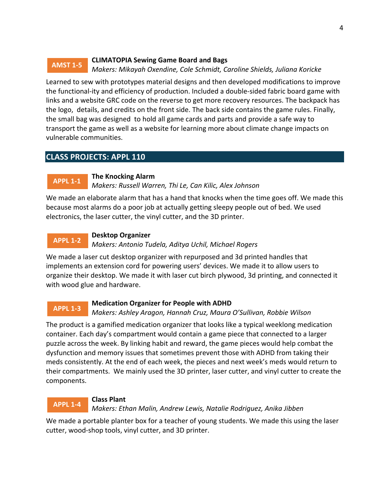#### <span id="page-3-0"></span>**CLIMATOPIA Sewing Game Board and Bags** *Makers: Mikayah Oxendine, Cole Schmidt, Caroline Shields, Juliana Koricke* **AMST 1-5**

Learned to sew with prototypes material designs and then developed modifications to improve the functional-ity and efficiency of production. Included a double-sided fabric board game with links and a website GRC code on the reverse to get more recovery resources. The backpack has the logo, details, and credits on the front side. The back side contains the game rules. Finally, the small bag was designed to hold all game cards and parts and provide a safe way to transport the game as well as a website for learning more about climate change impacts on vulnerable communities.

## **CLASS PROJECTS: APPL 110**

#### **The Knocking Alarm APPL 1-1**

*Makers: Russell Warren, Thi Le, Can Kilic, Alex Johnson*

We made an elaborate alarm that has a hand that knocks when the time goes off. We made this because most alarms do a poor job at actually getting sleepy people out of bed. We used electronics, the laser cutter, the vinyl cutter, and the 3D printer.

### **Desktop Organizer APPL 1-2**

*Makers: Antonio Tudela, Aditya Uchil, Michael Rogers*

We made a laser cut desktop organizer with repurposed and 3d printed handles that implements an extension cord for powering users' devices. We made it to allow users to organize their desktop. We made it with laser cut birch plywood, 3d printing, and connected it with wood glue and hardware.

## **APPL 1-3**

### **Medication Organizer for People with ADHD**

*Makers: Ashley Aragon, Hannah Cruz, Maura O'Sullivan, Robbie Wilson*

The product is a gamified medication organizer that looks like a typical weeklong medication container. Each day's compartment would contain a game piece that connected to a larger puzzle across the week. By linking habit and reward, the game pieces would help combat the dysfunction and memory issues that sometimes prevent those with ADHD from taking their meds consistently. At the end of each week, the pieces and next week's meds would return to their compartments. We mainly used the 3D printer, laser cutter, and vinyl cutter to create the components.

## **APPL 1-4**

## **Class Plant**

*Makers: Ethan Malin, Andrew Lewis, Natalie Rodriguez, Anika Jibben*

We made a portable planter box for a teacher of young students. We made this using the laser cutter, wood-shop tools, vinyl cutter, and 3D printer.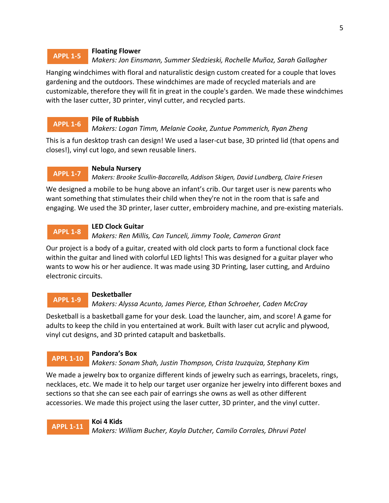### **Floating Flower** *Makers: Jon Einsmann, Summer Sledzieski, Rochelle Muñoz, Sarah Gallagher* **APPL 1-5**

Hanging windchimes with floral and naturalistic design custom created for a couple that loves gardening and the outdoors. These windchimes are made of recycled materials and are customizable, therefore they will fit in great in the couple's garden. We made these windchimes with the laser cutter, 3D printer, vinyl cutter, and recycled parts.

### **Pile of Rubbish APPL 1-6**

## *Makers: Logan Timm, Melanie Cooke, Zuntue Pommerich, Ryan Zheng*

This is a fun desktop trash can design! We used a laser-cut base, 3D printed lid (that opens and closes!), vinyl cut logo, and sewn reusable liners.

### **Nebula Nursery APPL 1-7**

*Makers: Brooke Scullin-Baccarella, Addison Skigen, David Lundberg, Claire Friesen*

We designed a mobile to be hung above an infant's crib. Our target user is new parents who want something that stimulates their child when they're not in the room that is safe and engaging. We used the 3D printer, laser cutter, embroidery machine, and pre-existing materials.

### **LED Clock Guitar APPL 1-8**

*Makers: Ren Millis, Can Tunceli, Jimmy Toole, Cameron Grant*

Our project is a body of a guitar, created with old clock parts to form a functional clock face within the guitar and lined with colorful LED lights! This was designed for a guitar player who wants to wow his or her audience. It was made using 3D Printing, laser cutting, and Arduino electronic circuits.

## **APPL 1-9**

**APPL 1-10**

## **Desketballer**

*Makers: Alyssa Acunto, James Pierce, Ethan Schroeher, Caden McCray*

Desketball is a basketball game for your desk. Load the launcher, aim, and score! A game for adults to keep the child in you entertained at work. Built with laser cut acrylic and plywood, vinyl cut designs, and 3D printed catapult and basketballs.

## **Pandora's Box**

*Makers: Sonam Shah, Justin Thompson, Crista Izuzquiza, Stephany Kim*

We made a jewelry box to organize different kinds of jewelry such as earrings, bracelets, rings, necklaces, etc. We made it to help our target user organize her jewelry into different boxes and sections so that she can see each pair of earrings she owns as well as other different accessories. We made this project using the laser cutter, 3D printer, and the vinyl cutter.

**Koi 4 Kids** *Makers: William Bucher, Kayla Dutcher, Camilo Corrales, Dhruvi Patel* **APPL 1-11**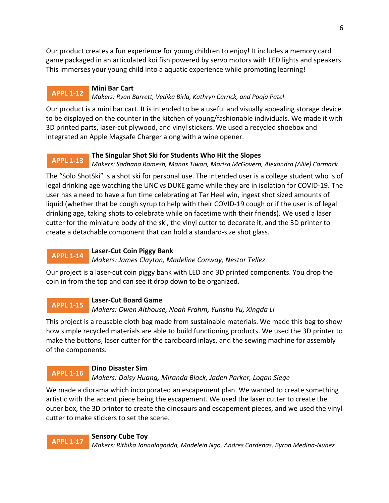Our product creates a fun experience for young children to enjoy! It includes a memory card game packaged in an articulated koi fish powered by servo motors with LED lights and speakers. This immerses your young child into a aquatic experience while promoting learning!

### **Mini Bar Cart APPL 1-12**

## *Makers: Ryan Barrett, Vedika Birla, Kathryn Carrick, and Pooja Patel*

Our product is a mini bar cart. It is intended to be a useful and visually appealing storage device to be displayed on the counter in the kitchen of young/fashionable individuals. We made it with 3D printed parts, laser-cut plywood, and vinyl stickers. We used a recycled shoebox and integrated an Apple Magsafe Charger along with a wine opener.

### **The Singular Shot Ski for Students Who Hit the Slopes APPL 1-13**

*Makers: Sadhana Ramesh, Manas Tiwari, Marisa McGovern, Alexandra (Allie) Carmack*

The "Solo ShotSki" is a shot ski for personal use. The intended user is a college student who is of legal drinking age watching the UNC vs DUKE game while they are in isolation for COVID-19. The user has a need to have a fun time celebrating at Tar Heel win, ingest shot sized amounts of liquid (whether that be cough syrup to help with their COVID-19 cough or if the user is of legal drinking age, taking shots to celebrate while on facetime with their friends). We used a laser cutter for the miniature body of the ski, the vinyl cutter to decorate it, and the 3D printer to create a detachable component that can hold a standard-size shot glass.

#### **Laser-Cut Coin Piggy Bank APPL 1-14**

*Makers: James Clayton, Madeline Conway, Nestor Tellez*

Our project is a laser-cut coin piggy bank with LED and 3D printed components. You drop the coin in from the top and can see it drop down to be organized.

#### **Laser-Cut Board Game APPL 1-15**

*Makers: Owen Althouse, Noah Frahm, Yunshu Yu, Xingda Li*

This project is a reusable cloth bag made from sustainable materials. We made this bag to show how simple recycled materials are able to build functioning products. We used the 3D printer to make the buttons, laser cutter for the cardboard inlays, and the sewing machine for assembly of the components.

### **Dino Disaster Sim APPL 1-16**

*Makers: Daisy Huang, Miranda Black, Jaden Parker, Logan Siege*

We made a diorama which incorporated an escapement plan. We wanted to create something artistic with the accent piece being the escapement. We used the laser cutter to create the outer box, the 3D printer to create the dinosaurs and escapement pieces, and we used the vinyl cutter to make stickers to set the scene.

**Sensory Cube Toy** *Makers: Rithika Jonnalagadda, Madelein Ngo, Andres Cardenas, Byron Medina-Nunez* **APPL 1-17**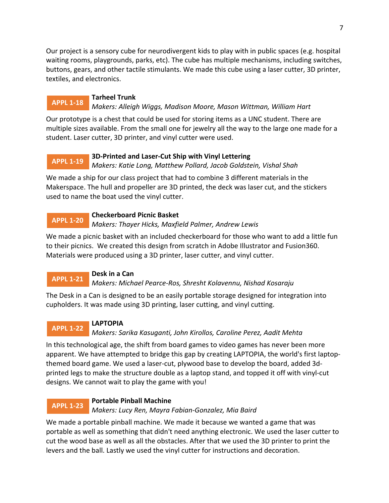Our project is a sensory cube for neurodivergent kids to play with in public spaces (e.g. hospital waiting rooms, playgrounds, parks, etc). The cube has multiple mechanisms, including switches, buttons, gears, and other tactile stimulants. We made this cube using a laser cutter, 3D printer, textiles, and electronics.

#### **Tarheel Trunk APPL 1-18**

*Makers: Alleigh Wiggs, Madison Moore, Mason Wittman, William Hart*

Our prototype is a chest that could be used for storing items as a UNC student. There are multiple sizes available. From the small one for jewelry all the way to the large one made for a student. Laser cutter, 3D printer, and vinyl cutter were used.

### **3D-Printed and Laser-Cut Ship with Vinyl Lettering APPL 1-19**

*Makers: Katie Long, Matthew Pollard, Jacob Goldstein, Vishal Shah*

We made a ship for our class project that had to combine 3 different materials in the Makerspace. The hull and propeller are 3D printed, the deck was laser cut, and the stickers used to name the boat used the vinyl cutter.

## **Checkerboard Picnic Basket**

*Makers: Thayer Hicks, Maxfield Palmer, Andrew Lewis* **APPL 1-20**

We made a picnic basket with an included checkerboard for those who want to add a little fun to their picnics. We created this design from scratch in Adobe Illustrator and Fusion360. Materials were produced using a 3D printer, laser cutter, and vinyl cutter.

#### **Desk in a Can APPL 1-21**

**APPL 1-22**

*Makers: Michael Pearce-Ros, Shresht Kolavennu, Nishad Kosaraju*

The Desk in a Can is designed to be an easily portable storage designed for integration into cupholders. It was made using 3D printing, laser cutting, and vinyl cutting.

## **LAPTOPIA**

*Makers: Sarika Kasuganti, John Kirollos, Caroline Perez, Aadit Mehta*

In this technological age, the shift from board games to video games has never been more apparent. We have attempted to bridge this gap by creating LAPTOPIA, the world's first laptopthemed board game. We used a laser-cut, plywood base to develop the board, added 3dprinted legs to make the structure double as a laptop stand, and topped it off with vinyl-cut designs. We cannot wait to play the game with you!

### **Portable Pinball Machine APPL 1-23**

*Makers: Lucy Ren, Mayra Fabian-Gonzalez, Mia Baird*

We made a portable pinball machine. We made it because we wanted a game that was portable as well as something that didn't need anything electronic. We used the laser cutter to cut the wood base as well as all the obstacles. After that we used the 3D printer to print the levers and the ball. Lastly we used the vinyl cutter for instructions and decoration.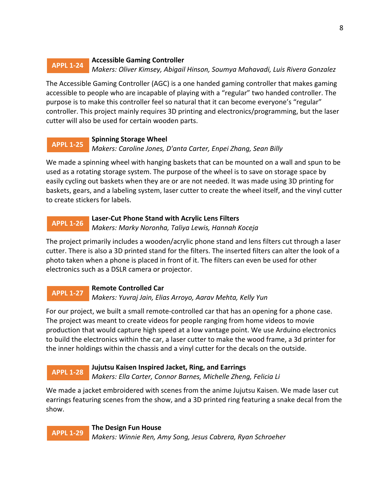### **Accessible Gaming Controller** *Makers: Oliver Kimsey, Abigail Hinson, Soumya Mahavadi, Luis Rivera Gonzalez* **APPL 1-24**

The Accessible Gaming Controller (AGC) is a one handed gaming controller that makes gaming accessible to people who are incapable of playing with a "regular" two handed controller. The purpose is to make this controller feel so natural that it can become everyone's "regular" controller. This project mainly requires 3D printing and electronics/programming, but the laser cutter will also be used for certain wooden parts.

### **Spinning Storage Wheel** *Makers: Caroline Jones, D'anta Carter, Enpei Zhang, Sean Billy* **APPL 1-25**

We made a spinning wheel with hanging baskets that can be mounted on a wall and spun to be used as a rotating storage system. The purpose of the wheel is to save on storage space by easily cycling out baskets when they are or are not needed. It was made using 3D printing for baskets, gears, and a labeling system, laser cutter to create the wheel itself, and the vinyl cutter to create stickers for labels.

#### **Laser-Cut Phone Stand with Acrylic Lens Filters** *Makers: Marky Noronha, Taliya Lewis, Hannah Koceja* **APPL 1-26**

The project primarily includes a wooden/acrylic phone stand and lens filters cut through a laser cutter. There is also a 3D printed stand for the filters. The inserted filters can alter the look of a photo taken when a phone is placed in front of it. The filters can even be used for other electronics such as a DSLR camera or projector.

#### **Remote Controlled Car** *Makers: Yuvraj Jain, Elias Arroyo, Aarav Mehta, Kelly Yun* **APPL 1-27**

For our project, we built a small remote-controlled car that has an opening for a phone case. The project was meant to create videos for people ranging from home videos to movie production that would capture high speed at a low vantage point. We use Arduino electronics to build the electronics within the car, a laser cutter to make the wood frame, a 3d printer for the inner holdings within the chassis and a vinyl cutter for the decals on the outside.

#### **Jujutsu Kaisen Inspired Jacket, Ring, and Earrings APPL 1-28**

*Makers: Ella Carter, Connor Barnes, Michelle Zheng, Felicia Li*

We made a jacket embroidered with scenes from the anime Jujutsu Kaisen. We made laser cut earrings featuring scenes from the show, and a 3D printed ring featuring a snake decal from the show.

**The Design Fun House** *Makers: Winnie Ren, Amy Song, Jesus Cabrera, Ryan Schroeher* **APPL 1-29**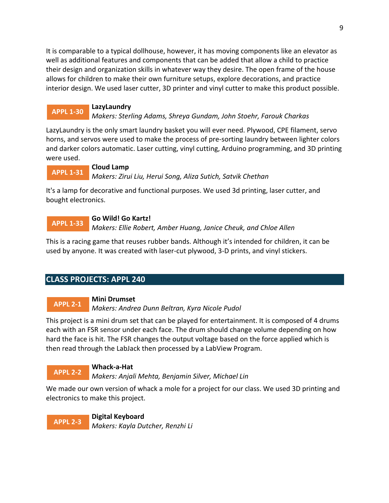<span id="page-8-0"></span>It is comparable to a typical dollhouse, however, it has moving components like an elevator as well as additional features and components that can be added that allow a child to practice their design and organization skills in whatever way they desire. The open frame of the house allows for children to make their own furniture setups, explore decorations, and practice interior design. We used laser cutter, 3D printer and vinyl cutter to make this product possible.

## **APPL 1-30**

## **LazyLaundry**

*Makers: Sterling Adams, Shreya Gundam, John Stoehr, Farouk Charkas*

LazyLaundry is the only smart laundry basket you will ever need. Plywood, CPE filament, servo horns, and servos were used to make the process of pre-sorting laundry between lighter colors and darker colors automatic. Laser cutting, vinyl cutting, Arduino programming, and 3D printing were used.

#### **Cloud Lamp APPL 1-31**

*Makers: Zirui Liu, Herui Song, Aliza Sutich, Satvik Chethan*

It's a lamp for decorative and functional purposes. We used 3d printing, laser cutter, and bought electronics.

### **Go Wild! Go Kartz! APPL 1-33**

*Makers: Ellie Robert, Amber Huang, Janice Cheuk, and Chloe Allen*

This is a racing game that reuses rubber bands. Although it's intended for children, it can be used by anyone. It was created with laser-cut plywood, 3-D prints, and vinyl stickers.

# **CLASS PROJECTS: APPL 240**

## **Mini Drumset**

*Makers: Andrea Dunn Beltran, Kyra Nicole Pudol* **APPL 2-1**

This project is a mini drum set that can be played for entertainment. It is composed of 4 drums each with an FSR sensor under each face. The drum should change volume depending on how hard the face is hit. The FSR changes the output voltage based on the force applied which is then read through the LabJack then processed by a LabView Program.

### **Whack-a-Hat APPL 2-2**

*Makers: Anjali Mehta, Benjamin Silver, Michael Lin*

We made our own version of whack a mole for a project for our class. We used 3D printing and electronics to make this project.

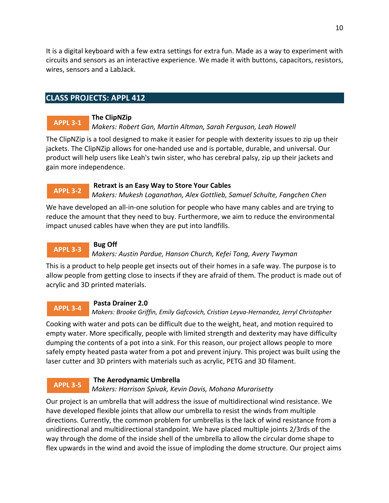<span id="page-9-0"></span>It is a digital keyboard with a few extra settings for extra fun. Made as a way to experiment with circuits and sensors as an interactive experience. We made it with buttons, capacitors, resistors, wires, sensors and a LabJack.

## **CLASS PROJECTS: APPL 412**

#### **The ClipNZip APPL 3-1**

## *Makers: Robert Gan, Martin Altman, Sarah Ferguson, Leah Howell*

The ClipNZip is a tool designed to make it easier for people with dexterity issues to zip up their jackets. The ClipNZip allows for one-handed use and is portable, durable, and universal. Our product will help users like Leah's twin sister, who has cerebral palsy, zip up their jackets and gain more independence.

## **Retraxt is an Easy Way to Store Your Cables**

*Makers: Mukesh Loganathan, Alex Gottlieb, Samuel Schulte, Fangchen Chen* **APPL 3-2**

We have developed an all-in-one solution for people who have many cables and are trying to reduce the amount that they need to buy. Furthermore, we aim to reduce the environmental impact unused cables have when they are put into landfills.

### **Bug Off** *Makers: Austin Pardue, Hanson Church, Kefei Tong, Avery Twyman* **APPL 3-3**

This is a product to help people get insects out of their homes in a safe way. The purpose is to allow people from getting close to insects if they are afraid of them. The product is made out of acrylic and 3D printed materials.

#### **Pasta Drainer 2.0 APPL 3-4**

### *Makers: Brooke Griffin, Emily Gafcovich, Cristian Leyva-Hernandez, Jerryl Christopher*

Cooking with water and pots can be difficult due to the weight, heat, and motion required to empty water. More specifically, people with limited strength and dexterity may have difficulty dumping the contents of a pot into a sink. For this reason, our project allows people to more safely empty heated pasta water from a pot and prevent injury. This project was built using the laser cutter and 3D printers with materials such as acrylic, PETG and 3D filament.

### **The Aerodynamic Umbrella APPL 3-5**

## *Makers: Harrison Spivak, Kevin Davis, Mohana Murarisetty*

Our project is an umbrella that will address the issue of multidirectional wind resistance. We have developed flexible joints that allow our umbrella to resist the winds from multiple directions. Currently, the common problem for umbrellas is the lack of wind resistance from a unidirectional and multidirectional standpoint. We have placed multiple joints 2/3rds of the way through the dome of the inside shell of the umbrella to allow the circular dome shape to flex upwards in the wind and avoid the issue of imploding the dome structure. Our project aims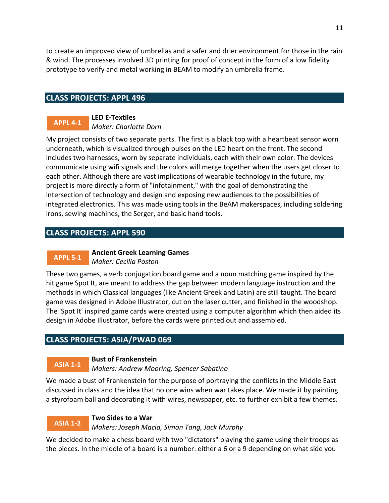<span id="page-10-0"></span>to create an improved view of umbrellas and a safer and drier environment for those in the rain & wind. The processes involved 3D printing for proof of concept in the form of a low fidelity prototype to verify and metal working in BEAM to modify an umbrella frame.

## **CLASS PROJECTS: APPL 496**

#### **LED E-Textiles** *Maker: Charlotte Dorn* **APPL 4-1**

My project consists of two separate parts. The first is a black top with a heartbeat sensor worn underneath, which is visualized through pulses on the LED heart on the front. The second includes two harnesses, worn by separate individuals, each with their own color. The devices communicate using wifi signals and the colors will merge together when the users get closer to each other. Although there are vast implications of wearable technology in the future, my project is more directly a form of "infotainment," with the goal of demonstrating the intersection of technology and design and exposing new audiences to the possibilities of integrated electronics. This was made using tools in the BeAM makerspaces, including soldering irons, sewing machines, the Serger, and basic hand tools.

## **CLASS PROJECTS: APPL 590**

#### **Ancient Greek Learning Games APPL 5-1**

*Maker: Cecilia Poston*

These two games, a verb conjugation board game and a noun matching game inspired by the hit game Spot It, are meant to address the gap between modern language instruction and the methods in which Classical languages (like Ancient Greek and Latin) are still taught. The board game was designed in Adobe Illustrator, cut on the laser cutter, and finished in the woodshop. The 'Spot It' inspired game cards were created using a computer algorithm which then aided its design in Adobe Illustrator, before the cards were printed out and assembled.

## **CLASS PROJECTS: ASIA/PWAD 069**

#### **Bust of Frankenstein ASIA 1-1**

### *Makers: Andrew Mooring, Spencer Sabatino*

We made a bust of Frankenstein for the purpose of portraying the conflicts in the Middle East discussed in class and the idea that no one wins when war takes place. We made it by painting a styrofoam ball and decorating it with wires, newspaper, etc. to further exhibit a few themes.

#### **Two Sides to a War** *Makers: Joseph Macia, Simon Tang, Jack Murphy* **ASIA 1-2**

We decided to make a chess board with two "dictators" playing the game using their troops as the pieces. In the middle of a board is a number: either a 6 or a 9 depending on what side you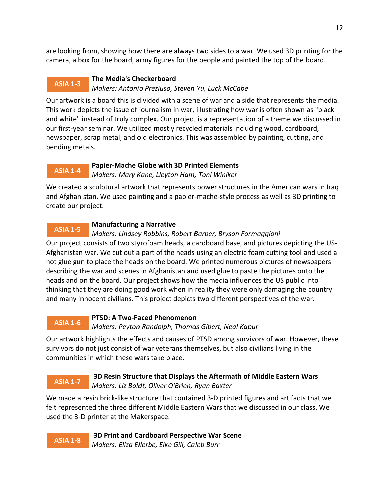are looking from, showing how there are always two sides to a war. We used 3D printing for the camera, a box for the board, army figures for the people and painted the top of the board.

### **The Media's Checkerboard** *Makers: Antonio Preziuso, Steven Yu, Luck McCabe* **ASIA 1-3**

Our artwork is a board this is divided with a scene of war and a side that represents the media. This work depicts the issue of journalism in war, illustrating how war is often shown as "black and white" instead of truly complex. Our project is a representation of a theme we discussed in our first-year seminar. We utilized mostly recycled materials including wood, cardboard, newspaper, scrap metal, and old electronics. This was assembled by painting, cutting, and bending metals.

#### **Papier-Mache Globe with 3D Printed Elements** *Makers: Mary Kane, Lleyton Ham, Toni Winiker* **ASIA 1-4**

We created a sculptural artwork that represents power structures in the American wars in Iraq and Afghanistan. We used painting and a papier-mache-style process as well as 3D printing to create our project.

### **Manufacturing a Narrative ASIA 1-5**

## *Makers: Lindsey Robbins, Robert Barber, Bryson Formaggioni*

Our project consists of two styrofoam heads, a cardboard base, and pictures depicting the US-Afghanistan war. We cut out a part of the heads using an electric foam cutting tool and used a hot glue gun to place the heads on the board. We printed numerous pictures of newspapers describing the war and scenes in Afghanistan and used glue to paste the pictures onto the heads and on the board. Our project shows how the media influences the US public into thinking that they are doing good work when in reality they were only damaging the country and many innocent civilians. This project depicts two different perspectives of the war.

### **PTSD: A Two-Faced Phenomenon** *Makers: Peyton Randolph, Thomas Gibert, Neal Kapur* **ASIA 1-6**

Our artwork highlights the effects and causes of PTSD among survivors of war. However, these survivors do not just consist of war veterans themselves, but also civilians living in the communities in which these wars take place.

### **3D Resin Structure that Displays the Aftermath of Middle Eastern Wars** *Makers: Liz Boldt, Oliver O'Brien, Ryan Baxter* **ASIA 1-7**

We made a resin brick-like structure that contained 3-D printed figures and artifacts that we felt represented the three different Middle Eastern Wars that we discussed in our class. We used the 3-D printer at the Makerspace.

**3D Print and Cardboard Perspective War Scene** *Makers: Eliza Ellerbe, Elke Gill, Caleb Burr* **ASIA 1-8**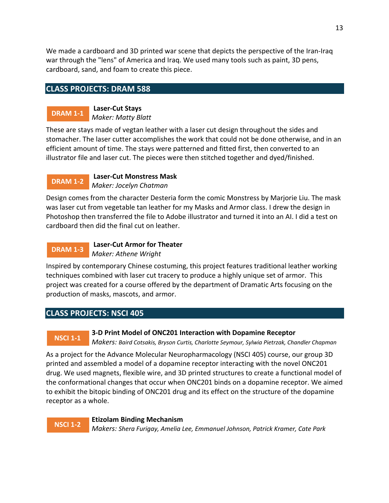<span id="page-12-0"></span>We made a cardboard and 3D printed war scene that depicts the perspective of the Iran-Iraq war through the "lens" of America and Iraq. We used many tools such as paint, 3D pens, cardboard, sand, and foam to create this piece.

## **CLASS PROJECTS: DRAM 588**

# **DRAM 1-1**

**Laser-Cut Stays** *Maker: Matty Blatt*

These are stays made of vegtan leather with a laser cut design throughout the sides and stomacher. The laser cutter accomplishes the work that could not be done otherwise, and in an efficient amount of time. The stays were patterned and fitted first, then converted to an illustrator file and laser cut. The pieces were then stitched together and dyed/finished.

#### **Laser-Cut Monstress Mask** *Maker: Jocelyn Chatman* **DRAM 1-2**

Design comes from the character Desteria form the comic Monstress by Marjorie Liu. The mask was laser cut from vegetable tan leather for my Masks and Armor class. I drew the design in Photoshop then transferred the file to Adobe illustrator and turned it into an AI. I did a test on cardboard then did the final cut on leather.

### **Laser-Cut Armor for Theater** *Maker: Athene Wright* **DRAM 1-3**

Inspired by contemporary Chinese costuming, this project features traditional leather working techniques combined with laser cut tracery to produce a highly unique set of armor. This project was created for a course offered by the department of Dramatic Arts focusing on the production of masks, mascots, and armor.

## **CLASS PROJECTS: NSCI 405**

# **NSCI 1-1**

## **3-D Print Model of ONC201 Interaction with Dopamine Receptor**

*Makers: Baird Cotsakis, Bryson Curtis, Charlotte Seymour, Sylwia Pietrzak, Chandler Chapman*

As a project for the Advance Molecular Neuropharmacology (NSCI 405) course, our group 3D printed and assembled a model of a dopamine receptor interacting with the novel ONC201 drug. We used magnets, flexible wire, and 3D printed structures to create a functional model of the conformational changes that occur when ONC201 binds on a dopamine receptor. We aimed to exhibit the bitopic binding of ONC201 drug and its effect on the structure of the dopamine receptor as a whole.

### **Etizolam Binding Mechanism** *Makers: Shera Furigay, Amelia Lee, Emmanuel Johnson, Patrick Kramer, Cate Park* **NSCI 1-2**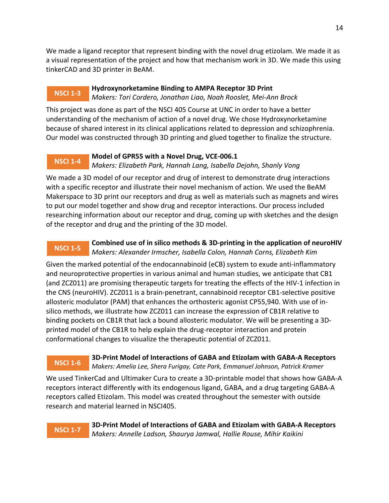We made a ligand receptor that represent binding with the novel drug etizolam. We made it as a visual representation of the project and how that mechanism work in 3D. We made this using tinkerCAD and 3D printer in BeAM.

### **Hydroxynorketamine Binding to AMPA Receptor 3D Print** *Makers: Tori Cordero, Jonathan Liao, Noah Rooslet, Mei-Ann Brock* **NSCI 1-3**

This project was done as part of the NSCI 405 Course at UNC in order to have a better understanding of the mechanism of action of a novel drug. We chose Hydroxynorketamine because of shared interest in its clinical applications related to depression and schizophrenia. Our model was constructed through 3D printing and glued together to finalize the structure.

#### **Model of GPR55 with a Novel Drug, VCE-006.1 NSCI 1-4**

*Makers: Elizabeth Park, Hannah Lang, Isabella Dejohn, Shanly Vong*

We made a 3D model of our receptor and drug of interest to demonstrate drug interactions with a specific receptor and illustrate their novel mechanism of action. We used the BeAM Makerspace to 3D print our receptors and drug as well as materials such as magnets and wires to put our model together and show drug and receptor interactions. Our process included researching information about our receptor and drug, coming up with sketches and the design of the receptor and drug and the printing of the 3D model.

### **Combined use of in silico methods & 3D-printing in the application of neuroHIV** *Makers: Alexander Irmscher, Isabella Colon, Hannah Corns, Elizabeth Kim* **NSCI 1-5**

Given the marked potential of the endocannabinoid (eCB) system to exude anti-inflammatory and neuroprotective properties in various animal and human studies, we anticipate that CB1 (and ZCZ011) are promising therapeutic targets for treating the effects of the HIV-1 infection in the CNS (neuroHIV). ZCZ011 is a brain-penetrant, cannabinoid receptor CB1-selective positive allosteric modulator (PAM) that enhances the orthosteric agonist CP55,940. With use of insilico methods, we illustrate how ZCZ011 can increase the expression of CB1R relative to binding pockets on CB1R that lack a bound allosteric modulator. We will be presenting a 3Dprinted model of the CB1R to help explain the drug-receptor interaction and protein conformational changes to visualize the therapeutic potential of ZCZ011.

### **3D-Print Model of Interactions of GABA and Etizolam with GABA-A Receptors** *Makers: Amelia Lee, Shera Furigay, Cate Park, Emmanuel Johnson, Patrick Kramer* **NSCI 1-6**

We used TinkerCad and Ultimaker Cura to create a 3D-printable model that shows how GABA-A receptors interact differently with its endogenous ligand, GABA, and a drug targeting GABA-A receptors called Etizolam. This model was created throughout the semester with outside research and material learned in NSCI405.

## **NSCI 1-7**

**3D-Print Model of Interactions of GABA and Etizolam with GABA-A Receptors** *Makers: Annelle Ladson, Shaurya Jamwal, Hallie Rouse, Mihir Kaikini*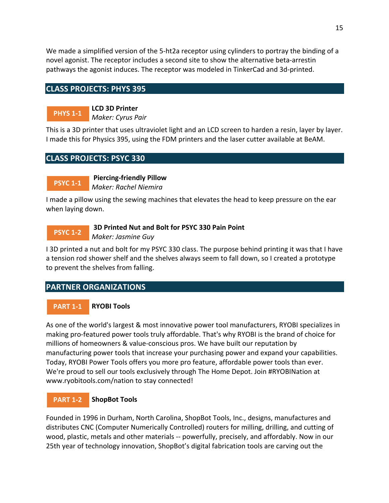<span id="page-14-0"></span>We made a simplified version of the 5-ht2a receptor using cylinders to portray the binding of a novel agonist. The receptor includes a second site to show the alternative beta-arrestin pathways the agonist induces. The receptor was modeled in TinkerCad and 3d-printed.

## **CLASS PROJECTS: PHYS 395**

**PHYS 1-1**

**LCD 3D Printer** *Maker: Cyrus Pair*

This is a 3D printer that uses ultraviolet light and an LCD screen to harden a resin, layer by layer. I made this for Physics 395, using the FDM printers and the laser cutter available at BeAM.

# **CLASS PROJECTS: PSYC 330**

**Piercing-friendly Pillow** *Maker: Rachel Niemira* **PSYC 1-1**

I made a pillow using the sewing machines that elevates the head to keep pressure on the ear when laying down.

### **3D Printed Nut and Bolt for PSYC 330 Pain Point** *Maker: Jasmine Guy* **PSYC 1-2**

I 3D printed a nut and bolt for my PSYC 330 class. The purpose behind printing it was that I have a tension rod shower shelf and the shelves always seem to fall down, so I created a prototype to prevent the shelves from falling.

## **PARTNER ORGANIZATIONS**

#### **RYOBI Tools PART 1-1**

As one of the world's largest & most innovative power tool manufacturers, RYOBI specializes in making pro-featured power tools truly affordable. That's why RYOBI is the brand of choice for millions of homeowners & value-conscious pros. We have built our reputation by manufacturing power tools that increase your purchasing power and expand your capabilities. Today, RYOBI Power Tools offers you more pro feature, affordable power tools than ever. We're proud to sell our tools exclusively through The Home Depot. Join #RYOBINation at www.ryobitools.com/nation to stay connected!

#### **ShopBot Tools PART 1-2**

Founded in 1996 in Durham, North Carolina, ShopBot Tools, Inc., designs, manufactures and distributes CNC (Computer Numerically Controlled) routers for milling, drilling, and cutting of wood, plastic, metals and other materials -- powerfully, precisely, and affordably. Now in our 25th year of technology innovation, ShopBot's digital fabrication tools are carving out the